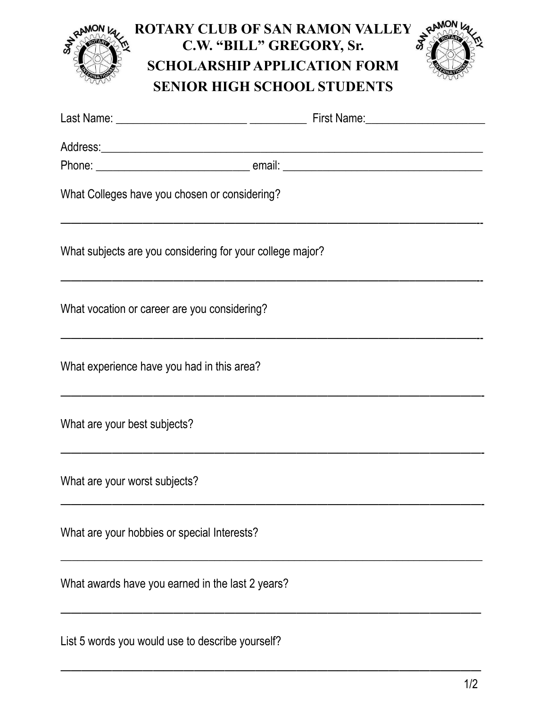| <b>ROTARY CLUB OF SAN RAMON VALLEY</b><br>C.W. "BILL" GREGORY, Sr.<br><b>SCHOLARSHIP APPLICATION FORM</b><br><b>SENIOR HIGH SCHOOL STUDENTS</b> |                                                           |
|-------------------------------------------------------------------------------------------------------------------------------------------------|-----------------------------------------------------------|
|                                                                                                                                                 |                                                           |
|                                                                                                                                                 |                                                           |
|                                                                                                                                                 |                                                           |
|                                                                                                                                                 | What Colleges have you chosen or considering?             |
|                                                                                                                                                 | What subjects are you considering for your college major? |
|                                                                                                                                                 | What vocation or career are you considering?              |
| What experience have you had in this area?                                                                                                      |                                                           |
| What are your best subjects?                                                                                                                    |                                                           |
| What are your worst subjects?                                                                                                                   |                                                           |
| What are your hobbies or special Interests?                                                                                                     |                                                           |
|                                                                                                                                                 | What awards have you earned in the last 2 years?          |
|                                                                                                                                                 | List 5 words you would use to describe yourself?          |

—————————————————————————————————————————